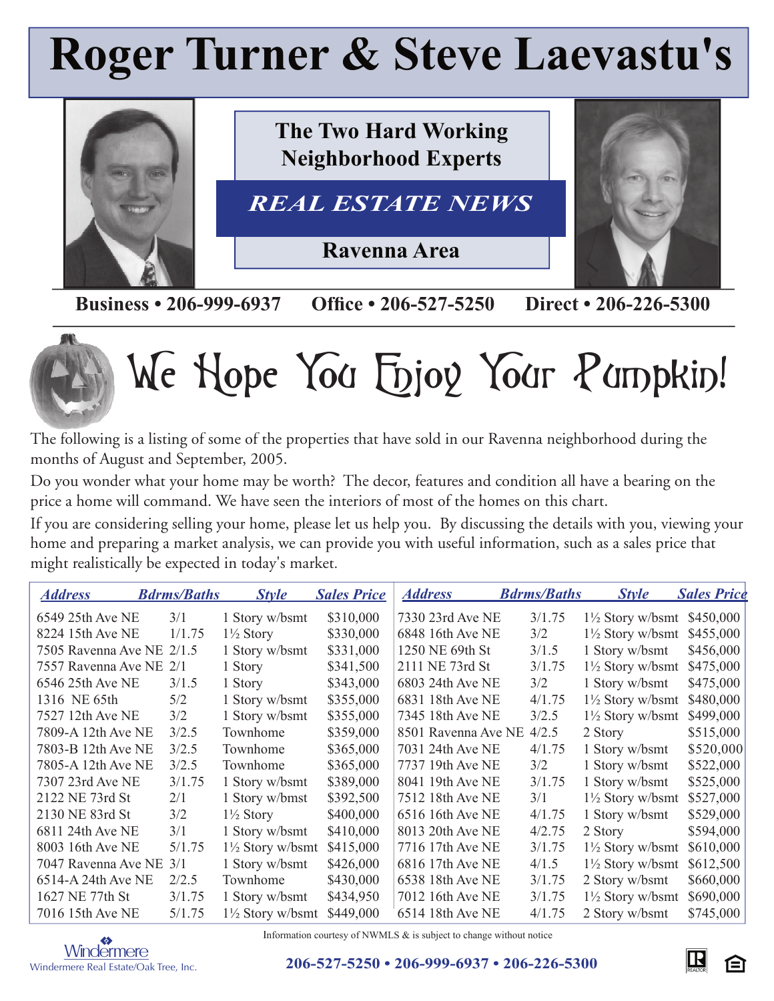## **Roger Turner & Steve Laevastu's**



**Business • 206-999-6937 Office • 206-527-5250 Direct • 206-226-5300** 



# We Hope You Enjoy Your Pumpkin!

The following is a listing of some of the properties that have sold in our Ravenna neighborhood during the months of August and September, 2005.

Do you wonder what your home may be worth? The decor, features and condition all have a bearing on the price a home will command. We have seen the interiors of most of the homes on this chart.

If you are considering selling your home, please let us help you. By discussing the details with you, viewing your home and preparing a market analysis, we can provide you with useful information, such as a sales price that might realistically be expected in today's market.

| <u>Address</u>            | <b>Bdrms/Baths</b> | <b>Style</b>                | <b>Sales Price</b> | <b>Address</b>      | <b>Bdrms/Baths</b> | <b>Style</b>                          | <b>Sales Price</b> |
|---------------------------|--------------------|-----------------------------|--------------------|---------------------|--------------------|---------------------------------------|--------------------|
| 6549 25th Ave NE          | 3/1                | 1 Story w/bsmt              | \$310,000          | 7330 23rd Ave NE    | 3/1.75             | $1\frac{1}{2}$ Story w/bsmt \$450,000 |                    |
| 8224 15th Ave NE          | 1/1.75             | $1\frac{1}{2}$ Story        | \$330,000          | 6848 16th Ave NE    | 3/2                | $1\frac{1}{2}$ Story w/bsmt           | \$455,000          |
| 7505 Ravenna Ave NE 2/1.5 |                    | 1 Story w/bsmt              | \$331,000          | 1250 NE 69th St     | 3/1.5              | 1 Story w/bsmt                        | \$456,000          |
| 7557 Ravenna Ave NE 2/1   |                    | 1 Story                     | \$341,500          | 2111 NE 73rd St     | 3/1.75             | $1\frac{1}{2}$ Story w/bsmt           | \$475,000          |
| 6546 25th Ave NE          | 3/1.5              | 1 Story                     | \$343,000          | 6803 24th Ave NE    | 3/2                | 1 Story w/bsmt                        | \$475,000          |
| 1316 NE 65th              | 5/2                | 1 Story w/bsmt              | \$355,000          | 6831 18th Ave NE    | 4/1.75             | $1\frac{1}{2}$ Story w/bsmt           | \$480,000          |
| 7527 12th Ave NE          | 3/2                | 1 Story w/bsmt              | \$355,000          | 7345 18th Ave NE    | 3/2.5              | $1\frac{1}{2}$ Story w/bsmt           | \$499,000          |
| 7809-A 12th Ave NE        | 3/2.5              | Townhome                    | \$359,000          | 8501 Ravenna Ave NE | 4/2.5              | 2 Story                               | \$515,000          |
| 7803-B 12th Ave NE        | 3/2.5              | Townhome                    | \$365,000          | 7031 24th Ave NE    | 4/1.75             | 1 Story w/bsmt                        | \$520,000          |
| 7805-A 12th Ave NE        | 3/2.5              | Townhome                    | \$365,000          | 7737 19th Ave NE    | 3/2                | 1 Story w/bsmt                        | \$522,000          |
| 7307 23rd Ave NE          | 3/1.75             | 1 Story w/bsmt              | \$389,000          | 8041 19th Ave NE    | 3/1.75             | 1 Story w/bsmt                        | \$525,000          |
| 2122 NE 73rd St           | 2/1                | 1 Story w/bmst              | \$392,500          | 7512 18th Ave NE    | 3/1                | $1\frac{1}{2}$ Story w/bsmt           | \$527,000          |
| 2130 NE 83rd St           | 3/2                | $1\frac{1}{2}$ Story        | \$400,000          | 6516 16th Ave NE    | 4/1.75             | 1 Story w/bsmt                        | \$529,000          |
| 6811 24th Ave NE          | 3/1                | 1 Story w/bsmt              | \$410,000          | 8013 20th Ave NE    | 4/2.75             | 2 Story                               | \$594,000          |
| 8003 16th Ave NE          | 5/1.75             | $1\frac{1}{2}$ Story w/bsmt | \$415,000          | 7716 17th Ave NE    | 3/1.75             | $1\frac{1}{2}$ Story w/bsmt           | \$610,000          |
| 7047 Ravenna Ave NE 3/1   |                    | 1 Story w/bsmt              | \$426,000          | 6816 17th Ave NE    | 4/1.5              | $1\frac{1}{2}$ Story w/bsmt           | \$612,500          |
| 6514-A 24th Ave NE        | 2/2.5              | Townhome                    | \$430,000          | 6538 18th Ave NE    | 3/1.75             | 2 Story w/bsmt                        | \$660,000          |
| 1627 NE 77th St           | 3/1.75             | 1 Story w/bsmt              | \$434,950          | 7012 16th Ave NE    | 3/1.75             | $1\frac{1}{2}$ Story w/bsmt           | \$690,000          |
| 7016 15th Ave NE          | 5/1.75             | $1\frac{1}{2}$ Story w/bsmt | \$449,000          | 6514 18th Ave NE    | 4/1.75             | 2 Story w/bsmt                        | \$745,000          |



Information courtesy of NWMLS & is subject to change without notice